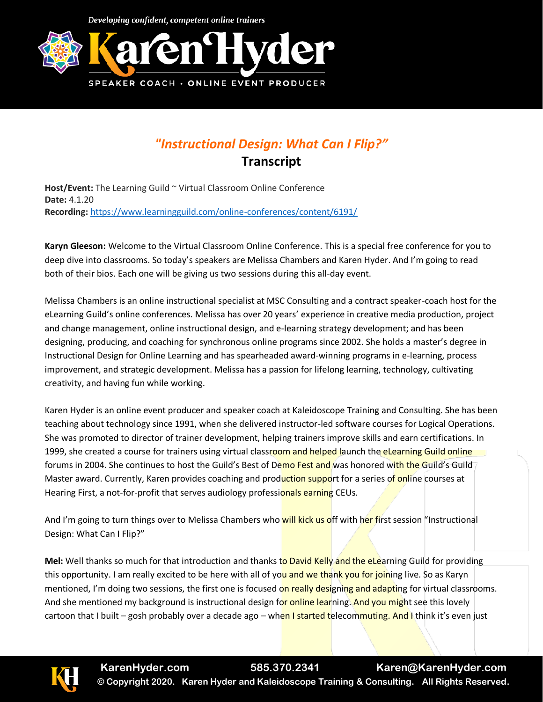Developing confident, competent online trainers



## *"Instructional Design: What Can I Flip?"* **Transcript**

**Host/Event:** The Learning Guild ~ Virtual Classroom Online Conference **Date:** 4.1.20 **Recording:** <https://www.learningguild.com/online-conferences/content/6191/>

**Karyn Gleeson:** Welcome to the Virtual Classroom Online Conference. This is a special free conference for you to deep dive into classrooms. So today's speakers are Melissa Chambers and Karen Hyder. And I'm going to read both of their bios. Each one will be giving us two sessions during this all-day event.

Melissa Chambers is an online instructional specialist at MSC Consulting and a contract speaker-coach host for the eLearning Guild's online conferences. Melissa has over 20 years' experience in creative media production, project and change management, online instructional design, and e-learning strategy development; and has been designing, producing, and coaching for synchronous online programs since 2002. She holds a master's degree in Instructional Design for Online Learning and has spearheaded award-winning programs in e-learning, process improvement, and strategic development. Melissa has a passion for lifelong learning, technology, cultivating creativity, and having fun while working.

Karen Hyder is an online event producer and speaker coach at Kaleidoscope Training and Consulting. She has been teaching about technology since 1991, when she delivered instructor-led software courses for Logical Operations. She was promoted to director of trainer development, helping trainers improve skills and earn certifications. In 1999, she created a course for trainers using virtual classroom and helped launch the eLearning Guild online forums in 2004. She continues to host the Guild's Best of Demo Fest and was honored with the Guild's Guild Master award. Currently, Karen provides coaching and production support for a series of online courses at Hearing First, a not-for-profit that serves audiology professionals earning CEUs.

And I'm going to turn things over to Melissa Chambers who will kick us off with her first session "Instructional Design: What Can I Flip?"

**Mel:** Well thanks so much for that introduction and thanks to David Kelly and the eLearning Guild for providing this opportunity. I am really excited to be here with all of you and we thank you for joining live. So as Karyn mentioned, I'm doing two sessions, the first one is focused on really designing and adapting for virtual classrooms. And she mentioned my background is instructional design for online learning. And you might see this lovely cartoon that I built – gosh probably over a decade ago – when I started telecommuting. And I think it's even just

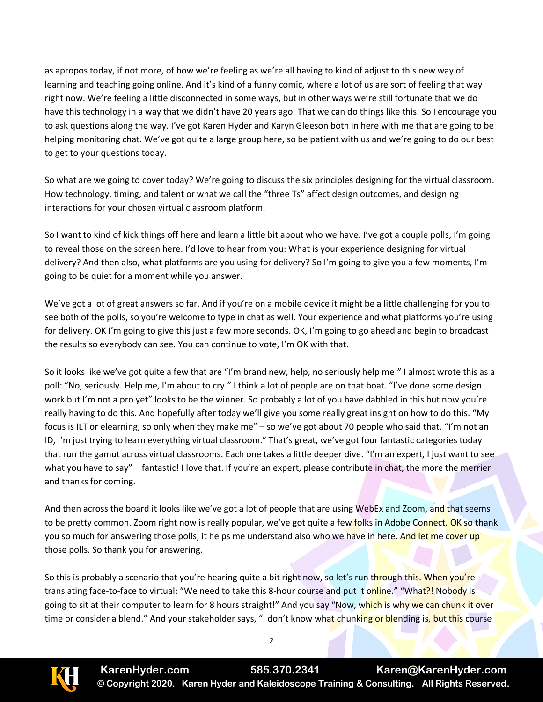as apropos today, if not more, of how we're feeling as we're all having to kind of adjust to this new way of learning and teaching going online. And it's kind of a funny comic, where a lot of us are sort of feeling that way right now. We're feeling a little disconnected in some ways, but in other ways we're still fortunate that we do have this technology in a way that we didn't have 20 years ago. That we can do things like this. So I encourage you to ask questions along the way. I've got Karen Hyder and Karyn Gleeson both in here with me that are going to be helping monitoring chat. We've got quite a large group here, so be patient with us and we're going to do our best to get to your questions today.

So what are we going to cover today? We're going to discuss the six principles designing for the virtual classroom. How technology, timing, and talent or what we call the "three Ts" affect design outcomes, and designing interactions for your chosen virtual classroom platform.

So I want to kind of kick things off here and learn a little bit about who we have. I've got a couple polls, I'm going to reveal those on the screen here. I'd love to hear from you: What is your experience designing for virtual delivery? And then also, what platforms are you using for delivery? So I'm going to give you a few moments, I'm going to be quiet for a moment while you answer.

We've got a lot of great answers so far. And if you're on a mobile device it might be a little challenging for you to see both of the polls, so you're welcome to type in chat as well. Your experience and what platforms you're using for delivery. OK I'm going to give this just a few more seconds. OK, I'm going to go ahead and begin to broadcast the results so everybody can see. You can continue to vote, I'm OK with that.

So it looks like we've got quite a few that are "I'm brand new, help, no seriously help me." I almost wrote this as a poll: "No, seriously. Help me, I'm about to cry." I think a lot of people are on that boat. "I've done some design work but I'm not a pro yet" looks to be the winner. So probably a lot of you have dabbled in this but now you're really having to do this. And hopefully after today we'll give you some really great insight on how to do this. "My focus is ILT or elearning, so only when they make me" – so we've got about 70 people who said that. "I'm not an ID, I'm just trying to learn everything virtual classroom." That's great, we've got four fantastic categories today that run the gamut across virtual classrooms. Each one takes a little deeper dive. "I'm an expert, I just want to see what you have to say" – fantastic! I love that. If you're an expert, please contribute in chat, the more the merrier and thanks for coming.

And then across the board it looks like we've got a lot of people that are using WebEx and Zoom, and that seems to be pretty common. Zoom right now is really popular, we've got quite a few folks in Adobe Connect. OK so thank you so much for answering those polls, it helps me understand also who we have in here. And let me cover up those polls. So thank you for answering.

So this is probably a scenario that you're hearing quite a bit right now, so let's run through this. When you're translating face-to-face to virtual: "We need to take this 8-hour course and put it online." "What?! Nobody is going to sit at their computer to learn for 8 hours straight!" And you say "Now, which is why we can chunk it over time or consider a blend." And your stakeholder says, "I don't know what chunking or blending is, but this course

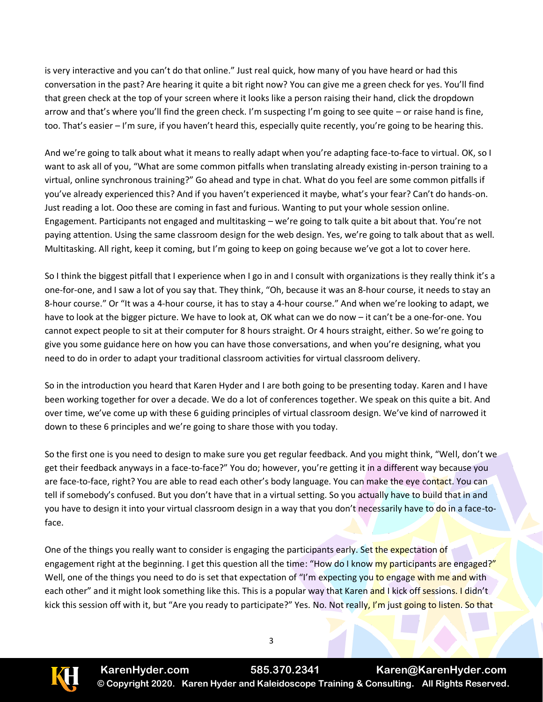is very interactive and you can't do that online." Just real quick, how many of you have heard or had this conversation in the past? Are hearing it quite a bit right now? You can give me a green check for yes. You'll find that green check at the top of your screen where it looks like a person raising their hand, click the dropdown arrow and that's where you'll find the green check. I'm suspecting I'm going to see quite – or raise hand is fine, too. That's easier – I'm sure, if you haven't heard this, especially quite recently, you're going to be hearing this.

And we're going to talk about what it means to really adapt when you're adapting face-to-face to virtual. OK, so I want to ask all of you, "What are some common pitfalls when translating already existing in-person training to a virtual, online synchronous training?" Go ahead and type in chat. What do you feel are some common pitfalls if you've already experienced this? And if you haven't experienced it maybe, what's your fear? Can't do hands-on. Just reading a lot. Ooo these are coming in fast and furious. Wanting to put your whole session online. Engagement. Participants not engaged and multitasking – we're going to talk quite a bit about that. You're not paying attention. Using the same classroom design for the web design. Yes, we're going to talk about that as well. Multitasking. All right, keep it coming, but I'm going to keep on going because we've got a lot to cover here.

So I think the biggest pitfall that I experience when I go in and I consult with organizations is they really think it's a one-for-one, and I saw a lot of you say that. They think, "Oh, because it was an 8-hour course, it needs to stay an 8-hour course." Or "It was a 4-hour course, it has to stay a 4-hour course." And when we're looking to adapt, we have to look at the bigger picture. We have to look at, OK what can we do now – it can't be a one-for-one. You cannot expect people to sit at their computer for 8 hours straight. Or 4 hours straight, either. So we're going to give you some guidance here on how you can have those conversations, and when you're designing, what you need to do in order to adapt your traditional classroom activities for virtual classroom delivery.

So in the introduction you heard that Karen Hyder and I are both going to be presenting today. Karen and I have been working together for over a decade. We do a lot of conferences together. We speak on this quite a bit. And over time, we've come up with these 6 guiding principles of virtual classroom design. We've kind of narrowed it down to these 6 principles and we're going to share those with you today.

So the first one is you need to design to make sure you get regular feedback. And you might think, "Well, don't we get their feedback anyways in a face-to-face?" You do; however, you're getting it in a different way because you are face-to-face, right? You are able to read each other's body language. You can make the eye contact. You can tell if somebody's confused. But you don't have that in a virtual setting. So you actually have to build that in and you have to design it into your virtual classroom design in a way that you don't necessarily have to do in a face-toface.

One of the things you really want to consider is engaging the participants early. Set the expectation of engagement right at the beginning. I get this question all the time: "How do I know my participants are engaged?" Well, one of the things you need to do is set that expectation of "I'm expecting you to engage with me and with each other" and it might look something like this. This is a popular way that Karen and I kick off sessions. I didn't kick this session off with it, but "Are you ready to participate?" Yes. No. Not really, I'm just going to listen. So that

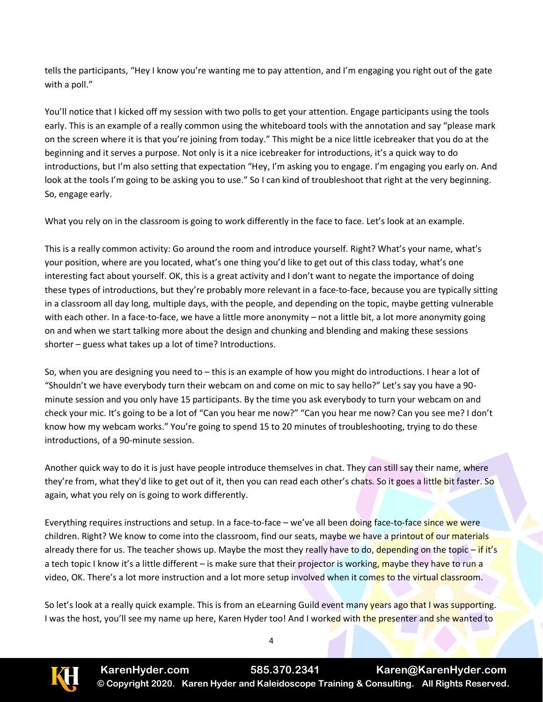tells the participants, "Hey I know you're wanting me to pay attention, and I'm engaging you right out of the gate with a poll."

You'll notice that I kicked off my session with two polls to get your attention. Engage participants using the tools early. This is an example of a really common using the whiteboard tools with the annotation and say "please mark on the screen where it is that you're joining from today." This might be a nice little icebreaker that you do at the beginning and it serves a purpose. Not only is it a nice icebreaker for introductions, it's a quick way to do introductions, but I'm also setting that expectation "Hey, I'm asking you to engage. I'm engaging you early on. And look at the tools I'm going to be asking you to use." So I can kind of troubleshoot that right at the very beginning. So, engage early.

What you rely on in the classroom is going to work differently in the face to face. Let's look at an example.

This is a really common activity: Go around the room and introduce yourself. Right? What's your name, what's your position, where are you located, what's one thing you'd like to get out of this class today, what's one interesting fact about yourself. OK, this is a great activity and I don't want to negate the importance of doing these types of introductions, but they're probably more relevant in a face-to-face, because you are typically sitting in a classroom all day long, multiple days, with the people, and depending on the topic, maybe getting vulnerable with each other. In a face-to-face, we have a little more anonymity – not a little bit, a lot more anonymity going on and when we start talking more about the design and chunking and blending and making these sessions shorter – guess what takes up a lot of time? Introductions.

So, when you are designing you need to – this is an example of how you might do introductions. I hear a lot of "Shouldn't we have everybody turn their webcam on and come on mic to say hello?" Let's say you have a 90 minute session and you only have 15 participants. By the time you ask everybody to turn your webcam on and check your mic. It's going to be a lot of "Can you hear me now?" "Can you hear me now? Can you see me? I don't know how my webcam works." You're going to spend 15 to 20 minutes of troubleshooting, trying to do these introductions, of a 90-minute session.

Another quick way to do it is just have people introduce themselves in chat. They can still say their name, where they're from, what they'd like to get out of it, then you can read each other's chats. So it goes a little bit faster. So again, what you rely on is going to work differently.

Everything requires instructions and setup. In a face-to-face – we've all been doing face-to-face since we were children. Right? We know to come into the classroom, find our seats, maybe we have a printout of our materials already there for us. The teacher shows up. Maybe the most they really have to do, depending on the topic – if it's a tech topic I know it's a little different – is make sure that their projector is working, maybe they have to run a video, OK. There's a lot more instruction and a lot more setup involved when it comes to the virtual classroom.

So let's look at a really quick example. This is from an eLearning Guild event many years ago that I was supporting. I was the host, you'll see my name up here, Karen Hyder too! And I worked with the presenter and she wanted to

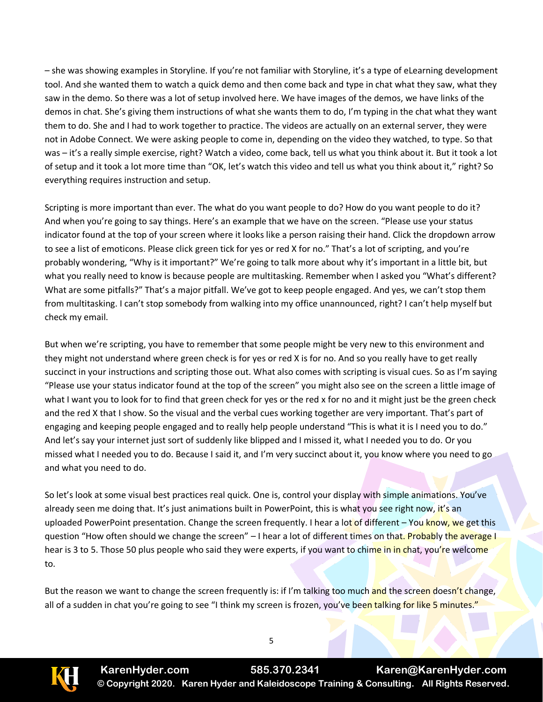– she was showing examples in Storyline. If you're not familiar with Storyline, it's a type of eLearning development tool. And she wanted them to watch a quick demo and then come back and type in chat what they saw, what they saw in the demo. So there was a lot of setup involved here. We have images of the demos, we have links of the demos in chat. She's giving them instructions of what she wants them to do, I'm typing in the chat what they want them to do. She and I had to work together to practice. The videos are actually on an external server, they were not in Adobe Connect. We were asking people to come in, depending on the video they watched, to type. So that was – it's a really simple exercise, right? Watch a video, come back, tell us what you think about it. But it took a lot of setup and it took a lot more time than "OK, let's watch this video and tell us what you think about it," right? So everything requires instruction and setup.

Scripting is more important than ever. The what do you want people to do? How do you want people to do it? And when you're going to say things. Here's an example that we have on the screen. "Please use your status indicator found at the top of your screen where it looks like a person raising their hand. Click the dropdown arrow to see a list of emoticons. Please click green tick for yes or red X for no." That's a lot of scripting, and you're probably wondering, "Why is it important?" We're going to talk more about why it's important in a little bit, but what you really need to know is because people are multitasking. Remember when I asked you "What's different? What are some pitfalls?" That's a major pitfall. We've got to keep people engaged. And yes, we can't stop them from multitasking. I can't stop somebody from walking into my office unannounced, right? I can't help myself but check my email.

But when we're scripting, you have to remember that some people might be very new to this environment and they might not understand where green check is for yes or red X is for no. And so you really have to get really succinct in your instructions and scripting those out. What also comes with scripting is visual cues. So as I'm saying "Please use your status indicator found at the top of the screen" you might also see on the screen a little image of what I want you to look for to find that green check for yes or the red x for no and it might just be the green check and the red X that I show. So the visual and the verbal cues working together are very important. That's part of engaging and keeping people engaged and to really help people understand "This is what it is I need you to do." And let's say your internet just sort of suddenly like blipped and I missed it, what I needed you to do. Or you missed what I needed you to do. Because I said it, and I'm very succinct about it, you know where you need to go and what you need to do.

So let's look at some visual best practices real quick. One is, control your display with simple animations. You've already seen me doing that. It's just animations built in PowerPoint, this is what you see right now, it's an uploaded PowerPoint presentation. Change the screen frequently. I hear a lot of different – You know, we get this question "How often should we change the screen" – I hear a lot of different times on that. Probably the average I hear is 3 to 5. Those 50 plus people who said they were experts, if you want to chime in in chat, you're welcome to.

But the reason we want to change the screen frequently is: if I'm talking too much and the screen doesn't change, all of a sudden in chat you're going to see "I think my screen is frozen, you've been talking for like 5 minutes."



**KarenHyder.com 585.370.2341 Karen@KarenHyder.com © Copyright 2020. Karen Hyder and Kaleidoscope Training & Consulting. All Rights Reserved.**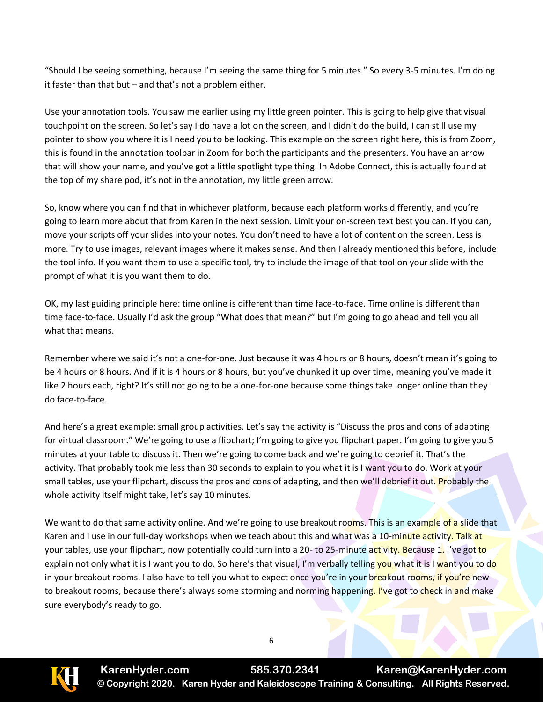"Should I be seeing something, because I'm seeing the same thing for 5 minutes." So every 3-5 minutes. I'm doing it faster than that but – and that's not a problem either.

Use your annotation tools. You saw me earlier using my little green pointer. This is going to help give that visual touchpoint on the screen. So let's say I do have a lot on the screen, and I didn't do the build, I can still use my pointer to show you where it is I need you to be looking. This example on the screen right here, this is from Zoom, this is found in the annotation toolbar in Zoom for both the participants and the presenters. You have an arrow that will show your name, and you've got a little spotlight type thing. In Adobe Connect, this is actually found at the top of my share pod, it's not in the annotation, my little green arrow.

So, know where you can find that in whichever platform, because each platform works differently, and you're going to learn more about that from Karen in the next session. Limit your on-screen text best you can. If you can, move your scripts off your slides into your notes. You don't need to have a lot of content on the screen. Less is more. Try to use images, relevant images where it makes sense. And then I already mentioned this before, include the tool info. If you want them to use a specific tool, try to include the image of that tool on your slide with the prompt of what it is you want them to do.

OK, my last guiding principle here: time online is different than time face-to-face. Time online is different than time face-to-face. Usually I'd ask the group "What does that mean?" but I'm going to go ahead and tell you all what that means.

Remember where we said it's not a one-for-one. Just because it was 4 hours or 8 hours, doesn't mean it's going to be 4 hours or 8 hours. And if it is 4 hours or 8 hours, but you've chunked it up over time, meaning you've made it like 2 hours each, right? It's still not going to be a one-for-one because some things take longer online than they do face-to-face.

And here's a great example: small group activities. Let's say the activity is "Discuss the pros and cons of adapting for virtual classroom." We're going to use a flipchart; I'm going to give you flipchart paper. I'm going to give you 5 minutes at your table to discuss it. Then we're going to come back and we're going to debrief it. That's the activity. That probably took me less than 30 seconds to explain to you what it is I want you to do. Work at your small tables, use your flipchart, discuss the pros and cons of adapting, and then we'll debrief it out. Probably the whole activity itself might take, let's say 10 minutes.

We want to do that same activity online. And we're going to use breakout rooms. This is an example of a slide that Karen and I use in our full-day workshops when we teach about this and what was a 10-minute activity. Talk at your tables, use your flipchart, now potentially could turn into a 20- to 25-minute activity. Because 1. I've got to explain not only what it is I want you to do. So here's that visual, I'm verbally telling you what it is I want you to do in your breakout rooms. I also have to tell you what to expect once you're in your breakout rooms, if you're new to breakout rooms, because there's always some storming and norming happening. I've got to check in and make sure everybody's ready to go.



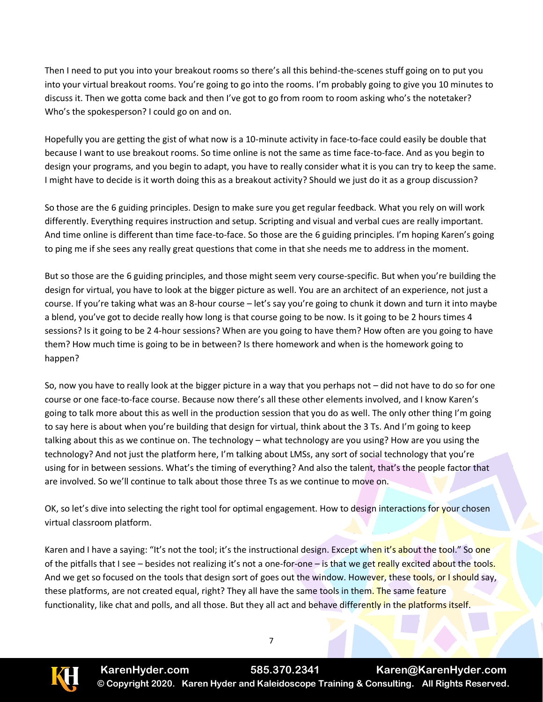Then I need to put you into your breakout rooms so there's all this behind-the-scenes stuff going on to put you into your virtual breakout rooms. You're going to go into the rooms. I'm probably going to give you 10 minutes to discuss it. Then we gotta come back and then I've got to go from room to room asking who's the notetaker? Who's the spokesperson? I could go on and on.

Hopefully you are getting the gist of what now is a 10-minute activity in face-to-face could easily be double that because I want to use breakout rooms. So time online is not the same as time face-to-face. And as you begin to design your programs, and you begin to adapt, you have to really consider what it is you can try to keep the same. I might have to decide is it worth doing this as a breakout activity? Should we just do it as a group discussion?

So those are the 6 guiding principles. Design to make sure you get regular feedback. What you rely on will work differently. Everything requires instruction and setup. Scripting and visual and verbal cues are really important. And time online is different than time face-to-face. So those are the 6 guiding principles. I'm hoping Karen's going to ping me if she sees any really great questions that come in that she needs me to address in the moment.

But so those are the 6 guiding principles, and those might seem very course-specific. But when you're building the design for virtual, you have to look at the bigger picture as well. You are an architect of an experience, not just a course. If you're taking what was an 8-hour course – let's say you're going to chunk it down and turn it into maybe a blend, you've got to decide really how long is that course going to be now. Is it going to be 2 hours times 4 sessions? Is it going to be 2 4-hour sessions? When are you going to have them? How often are you going to have them? How much time is going to be in between? Is there homework and when is the homework going to happen?

So, now you have to really look at the bigger picture in a way that you perhaps not – did not have to do so for one course or one face-to-face course. Because now there's all these other elements involved, and I know Karen's going to talk more about this as well in the production session that you do as well. The only other thing I'm going to say here is about when you're building that design for virtual, think about the 3 Ts. And I'm going to keep talking about this as we continue on. The technology – what technology are you using? How are you using the technology? And not just the platform here, I'm talking about LMSs, any sort of social technology that you're using for in between sessions. What's the timing of everything? And also the talent, that's the people factor that are involved. So we'll continue to talk about those three Ts as we continue to move on.

OK, so let's dive into selecting the right tool for optimal engagement. How to design interactions for your chosen virtual classroom platform.

Karen and I have a saying: "It's not the tool; it's the instructional design. Except when it's about the tool." So one of the pitfalls that I see – besides not realizing it's not a one-for-one – is that we get really excited about the tools. And we get so focused on the tools that design sort of goes out the window. However, these tools, or I should say, these platforms, are not created equal, right? They all have the same tools in them. The same feature functionality, like chat and polls, and all those. But they all act and behave differently in the platforms itself.

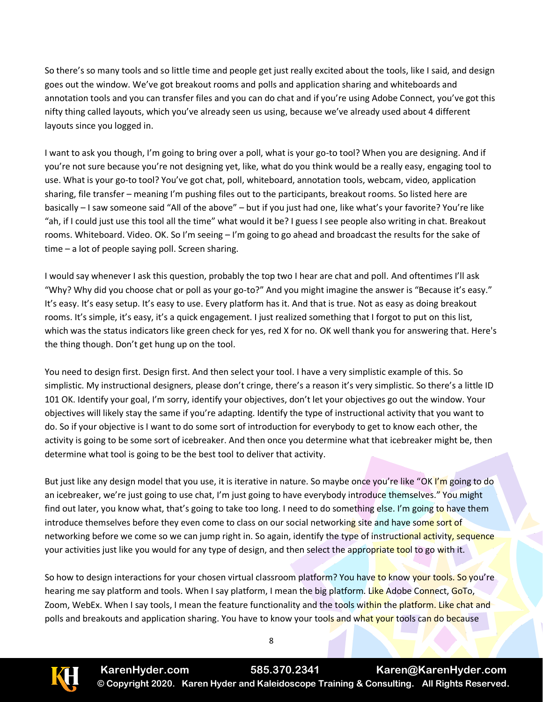So there's so many tools and so little time and people get just really excited about the tools, like I said, and design goes out the window. We've got breakout rooms and polls and application sharing and whiteboards and annotation tools and you can transfer files and you can do chat and if you're using Adobe Connect, you've got this nifty thing called layouts, which you've already seen us using, because we've already used about 4 different layouts since you logged in.

I want to ask you though, I'm going to bring over a poll, what is your go-to tool? When you are designing. And if you're not sure because you're not designing yet, like, what do you think would be a really easy, engaging tool to use. What is your go-to tool? You've got chat, poll, whiteboard, annotation tools, webcam, video, application sharing, file transfer – meaning I'm pushing files out to the participants, breakout rooms. So listed here are basically – I saw someone said "All of the above" – but if you just had one, like what's your favorite? You're like "ah, if I could just use this tool all the time" what would it be? I guess I see people also writing in chat. Breakout rooms. Whiteboard. Video. OK. So I'm seeing – I'm going to go ahead and broadcast the results for the sake of time – a lot of people saying poll. Screen sharing.

I would say whenever I ask this question, probably the top two I hear are chat and poll. And oftentimes I'll ask "Why? Why did you choose chat or poll as your go-to?" And you might imagine the answer is "Because it's easy." It's easy. It's easy setup. It's easy to use. Every platform has it. And that is true. Not as easy as doing breakout rooms. It's simple, it's easy, it's a quick engagement. I just realized something that I forgot to put on this list, which was the status indicators like green check for yes, red X for no. OK well thank you for answering that. Here's the thing though. Don't get hung up on the tool.

You need to design first. Design first. And then select your tool. I have a very simplistic example of this. So simplistic. My instructional designers, please don't cringe, there's a reason it's very simplistic. So there's a little ID 101 OK. Identify your goal, I'm sorry, identify your objectives, don't let your objectives go out the window. Your objectives will likely stay the same if you're adapting. Identify the type of instructional activity that you want to do. So if your objective is I want to do some sort of introduction for everybody to get to know each other, the activity is going to be some sort of icebreaker. And then once you determine what that icebreaker might be, then determine what tool is going to be the best tool to deliver that activity.

But just like any design model that you use, it is iterative in nature. So maybe once you're like "OK I'm going to do an icebreaker, we're just going to use chat, I'm just going to have everybody introduce themselves." You might find out later, you know what, that's going to take too long. I need to do something else. I'm going to have them introduce themselves before they even come to class on our social networking site and have some sort of networking before we come so we can jump right in. So again, identify the type of instructional activity, sequence your activities just like you would for any type of design, and then select the appropriate tool to go with it.

So how to design interactions for your chosen virtual classroom platform? You have to know your tools. So you're hearing me say platform and tools. When I say platform, I mean the big platform. Like Adobe Connect, GoTo, Zoom, WebEx. When I say tools, I mean the feature functionality and the tools within the platform. Like chat and polls and breakouts and application sharing. You have to know your tools and what your tools can do because

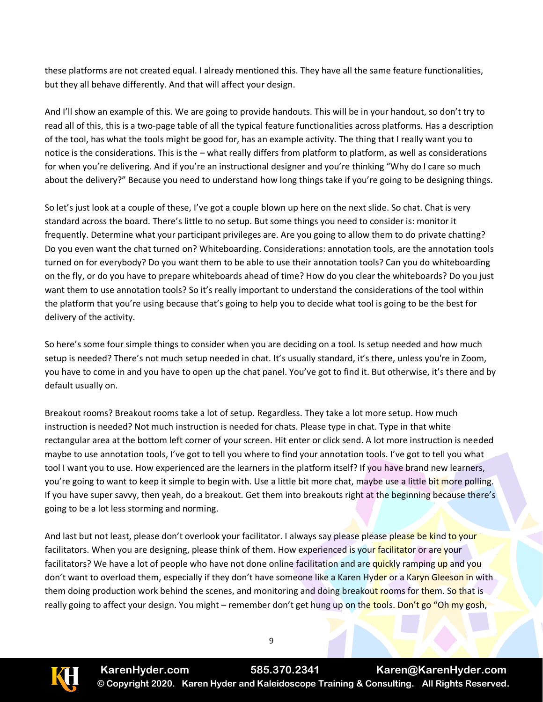these platforms are not created equal. I already mentioned this. They have all the same feature functionalities, but they all behave differently. And that will affect your design.

And I'll show an example of this. We are going to provide handouts. This will be in your handout, so don't try to read all of this, this is a two-page table of all the typical feature functionalities across platforms. Has a description of the tool, has what the tools might be good for, has an example activity. The thing that I really want you to notice is the considerations. This is the – what really differs from platform to platform, as well as considerations for when you're delivering. And if you're an instructional designer and you're thinking "Why do I care so much about the delivery?" Because you need to understand how long things take if you're going to be designing things.

So let's just look at a couple of these, I've got a couple blown up here on the next slide. So chat. Chat is very standard across the board. There's little to no setup. But some things you need to consider is: monitor it frequently. Determine what your participant privileges are. Are you going to allow them to do private chatting? Do you even want the chat turned on? Whiteboarding. Considerations: annotation tools, are the annotation tools turned on for everybody? Do you want them to be able to use their annotation tools? Can you do whiteboarding on the fly, or do you have to prepare whiteboards ahead of time? How do you clear the whiteboards? Do you just want them to use annotation tools? So it's really important to understand the considerations of the tool within the platform that you're using because that's going to help you to decide what tool is going to be the best for delivery of the activity.

So here's some four simple things to consider when you are deciding on a tool. Is setup needed and how much setup is needed? There's not much setup needed in chat. It's usually standard, it's there, unless you're in Zoom, you have to come in and you have to open up the chat panel. You've got to find it. But otherwise, it's there and by default usually on.

Breakout rooms? Breakout rooms take a lot of setup. Regardless. They take a lot more setup. How much instruction is needed? Not much instruction is needed for chats. Please type in chat. Type in that white rectangular area at the bottom left corner of your screen. Hit enter or click send. A lot more instruction is needed maybe to use annotation tools, I've got to tell you where to find your annotation tools. I've got to tell you what tool I want you to use. How experienced are the learners in the platform itself? If you have brand new learners, you're going to want to keep it simple to begin with. Use a little bit more chat, maybe use a little bit more polling. If you have super savvy, then yeah, do a breakout. Get them into breakouts right at the beginning because there's going to be a lot less storming and norming.

And last but not least, please don't overlook your facilitator. I always say please please please be kind to your facilitators. When you are designing, please think of them. How experienced is your facilitator or are your facilitators? We have a lot of people who have not done online facilitation and are quickly ramping up and you don't want to overload them, especially if they don't have someone like a Karen Hyder or a Karyn Gleeson in with them doing production work behind the scenes, and monitoring and doing breakout rooms for them. So that is really going to affect your design. You might – remember don't get hung up on the tools. Don't go "Oh my gosh,

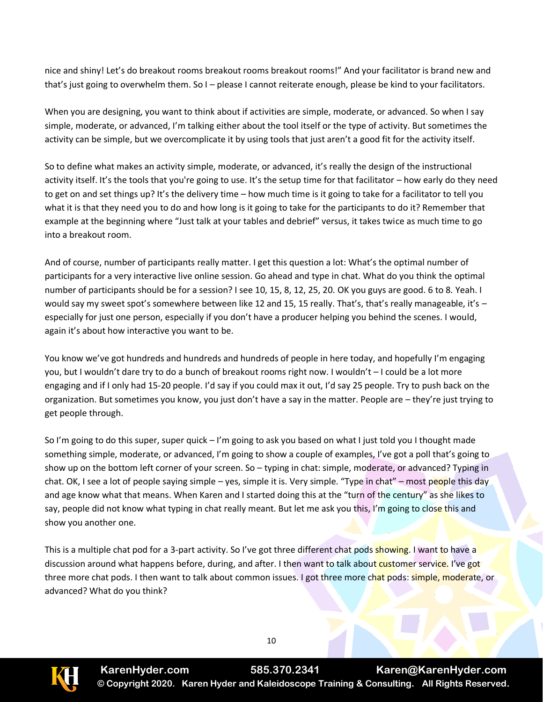nice and shiny! Let's do breakout rooms breakout rooms breakout rooms!" And your facilitator is brand new and that's just going to overwhelm them. So I – please I cannot reiterate enough, please be kind to your facilitators.

When you are designing, you want to think about if activities are simple, moderate, or advanced. So when I say simple, moderate, or advanced, I'm talking either about the tool itself or the type of activity. But sometimes the activity can be simple, but we overcomplicate it by using tools that just aren't a good fit for the activity itself.

So to define what makes an activity simple, moderate, or advanced, it's really the design of the instructional activity itself. It's the tools that you're going to use. It's the setup time for that facilitator – how early do they need to get on and set things up? It's the delivery time – how much time is it going to take for a facilitator to tell you what it is that they need you to do and how long is it going to take for the participants to do it? Remember that example at the beginning where "Just talk at your tables and debrief" versus, it takes twice as much time to go into a breakout room.

And of course, number of participants really matter. I get this question a lot: What's the optimal number of participants for a very interactive live online session. Go ahead and type in chat. What do you think the optimal number of participants should be for a session? I see 10, 15, 8, 12, 25, 20. OK you guys are good. 6 to 8. Yeah. I would say my sweet spot's somewhere between like 12 and 15, 15 really. That's, that's really manageable, it's especially for just one person, especially if you don't have a producer helping you behind the scenes. I would, again it's about how interactive you want to be.

You know we've got hundreds and hundreds and hundreds of people in here today, and hopefully I'm engaging you, but I wouldn't dare try to do a bunch of breakout rooms right now. I wouldn't – I could be a lot more engaging and if I only had 15-20 people. I'd say if you could max it out, I'd say 25 people. Try to push back on the organization. But sometimes you know, you just don't have a say in the matter. People are – they're just trying to get people through.

So I'm going to do this super, super quick – I'm going to ask you based on what I just told you I thought made something simple, moderate, or advanced, I'm going to show a couple of examples, I've got a poll that's going to show up on the bottom left corner of your screen. So – typing in chat: simple, moderate, or advanced? Typing in chat. OK, I see a lot of people saying simple – yes, simple it is. Very simple. "Type in chat" – most people this day and age know what that means. When Karen and I started doing this at the "turn of the century" as she likes to say, people did not know what typing in chat really meant. But let me ask you this, I'm going to close this and show you another one.

This is a multiple chat pod for a 3-part activity. So I've got three different chat pods showing. I want to have a discussion around what happens before, during, and after. I then want to talk about customer service. I've got three more chat pods. I then want to talk about common issues. I got three more chat pods: simple, moderate, or advanced? What do you think?

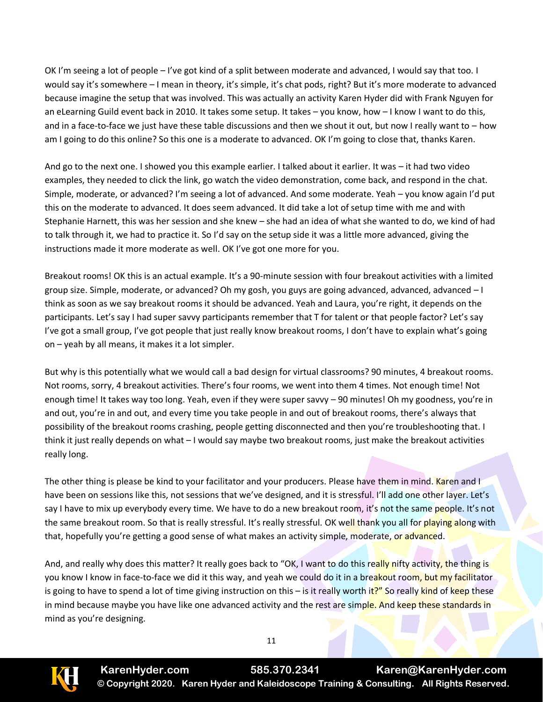OK I'm seeing a lot of people – I've got kind of a split between moderate and advanced, I would say that too. I would say it's somewhere – I mean in theory, it's simple, it's chat pods, right? But it's more moderate to advanced because imagine the setup that was involved. This was actually an activity Karen Hyder did with Frank Nguyen for an eLearning Guild event back in 2010. It takes some setup. It takes – you know, how – I know I want to do this, and in a face-to-face we just have these table discussions and then we shout it out, but now I really want to – how am I going to do this online? So this one is a moderate to advanced. OK I'm going to close that, thanks Karen.

And go to the next one. I showed you this example earlier. I talked about it earlier. It was – it had two video examples, they needed to click the link, go watch the video demonstration, come back, and respond in the chat. Simple, moderate, or advanced? I'm seeing a lot of advanced. And some moderate. Yeah – you know again I'd put this on the moderate to advanced. It does seem advanced. It did take a lot of setup time with me and with Stephanie Harnett, this was her session and she knew – she had an idea of what she wanted to do, we kind of had to talk through it, we had to practice it. So I'd say on the setup side it was a little more advanced, giving the instructions made it more moderate as well. OK I've got one more for you.

Breakout rooms! OK this is an actual example. It's a 90-minute session with four breakout activities with a limited group size. Simple, moderate, or advanced? Oh my gosh, you guys are going advanced, advanced, advanced – I think as soon as we say breakout rooms it should be advanced. Yeah and Laura, you're right, it depends on the participants. Let's say I had super savvy participants remember that T for talent or that people factor? Let's say I've got a small group, I've got people that just really know breakout rooms, I don't have to explain what's going on – yeah by all means, it makes it a lot simpler.

But why is this potentially what we would call a bad design for virtual classrooms? 90 minutes, 4 breakout rooms. Not rooms, sorry, 4 breakout activities. There's four rooms, we went into them 4 times. Not enough time! Not enough time! It takes way too long. Yeah, even if they were super savvy – 90 minutes! Oh my goodness, you're in and out, you're in and out, and every time you take people in and out of breakout rooms, there's always that possibility of the breakout rooms crashing, people getting disconnected and then you're troubleshooting that. I think it just really depends on what – I would say maybe two breakout rooms, just make the breakout activities really long.

The other thing is please be kind to your facilitator and your producers. Please have them in mind. Karen and I have been on sessions like this, not sessions that we've designed, and it is stressful. I'll add one other layer. Let's say I have to mix up everybody every time. We have to do a new breakout room, it's not the same people. It's not the same breakout room. So that is really stressful. It's really stressful. OK well thank you all for playing along with that, hopefully you're getting a good sense of what makes an activity simple, moderate, or advanced.

And, and really why does this matter? It really goes back to "OK, I want to do this really nifty activity, the thing is you know I know in face-to-face we did it this way, and yeah we could do it in a breakout room, but my facilitator is going to have to spend a lot of time giving instruction on this – is it really worth it?" So really kind of keep these in mind because maybe you have like one advanced activity and the rest are simple. And keep these standards in mind as you're designing.



11

**KarenHyder.com 585.370.2341 Karen@KarenHyder.com © Copyright 2020. Karen Hyder and Kaleidoscope Training & Consulting. All Rights Reserved.**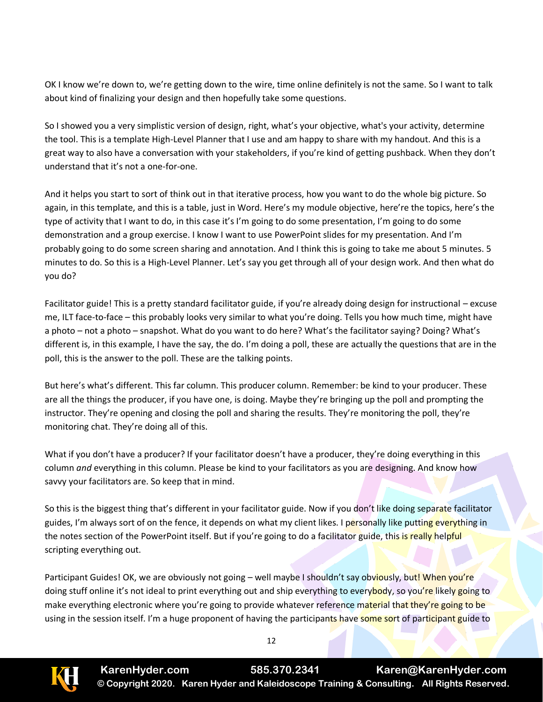OK I know we're down to, we're getting down to the wire, time online definitely is not the same. So I want to talk about kind of finalizing your design and then hopefully take some questions.

So I showed you a very simplistic version of design, right, what's your objective, what's your activity, determine the tool. This is a template High-Level Planner that I use and am happy to share with my handout. And this is a great way to also have a conversation with your stakeholders, if you're kind of getting pushback. When they don't understand that it's not a one-for-one.

And it helps you start to sort of think out in that iterative process, how you want to do the whole big picture. So again, in this template, and this is a table, just in Word. Here's my module objective, here're the topics, here's the type of activity that I want to do, in this case it's I'm going to do some presentation, I'm going to do some demonstration and a group exercise. I know I want to use PowerPoint slides for my presentation. And I'm probably going to do some screen sharing and annotation. And I think this is going to take me about 5 minutes. 5 minutes to do. So this is a High-Level Planner. Let's say you get through all of your design work. And then what do you do?

Facilitator guide! This is a pretty standard facilitator guide, if you're already doing design for instructional – excuse me, ILT face-to-face – this probably looks very similar to what you're doing. Tells you how much time, might have a photo – not a photo – snapshot. What do you want to do here? What's the facilitator saying? Doing? What's different is, in this example, I have the say, the do. I'm doing a poll, these are actually the questions that are in the poll, this is the answer to the poll. These are the talking points.

But here's what's different. This far column. This producer column. Remember: be kind to your producer. These are all the things the producer, if you have one, is doing. Maybe they're bringing up the poll and prompting the instructor. They're opening and closing the poll and sharing the results. They're monitoring the poll, they're monitoring chat. They're doing all of this.

What if you don't have a producer? If your facilitator doesn't have a producer, they're doing everything in this column *and* everything in this column. Please be kind to your facilitators as you are designing. And know how savvy your facilitators are. So keep that in mind.

So this is the biggest thing that's different in your facilitator guide. Now if you don't like doing separate facilitator guides, I'm always sort of on the fence, it depends on what my client likes. I personally like putting everything in the notes section of the PowerPoint itself. But if you're going to do a facilitator guide, this is really helpful scripting everything out.

Participant Guides! OK, we are obviously not going – well maybe I shouldn't say obviously, but! When you're doing stuff online it's not ideal to print everything out and ship everything to everybody, so you're likely going to make everything electronic where you're going to provide whatever reference material that they're going to be using in the session itself. I'm a huge proponent of having the participants have some sort of participant guide to

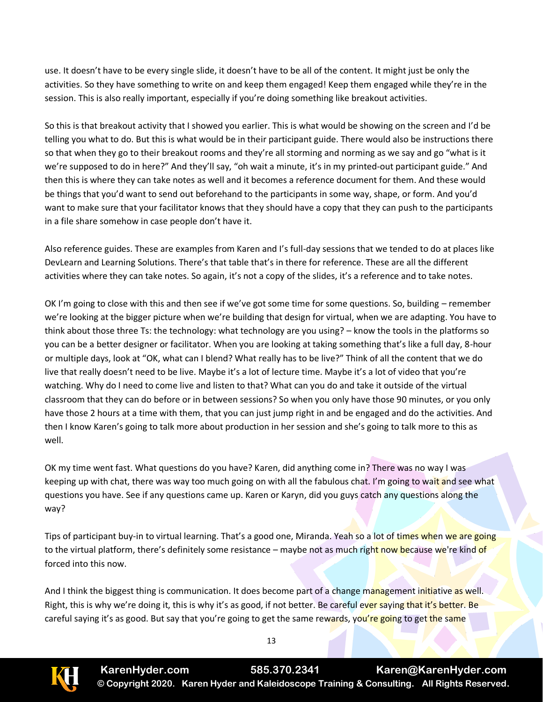use. It doesn't have to be every single slide, it doesn't have to be all of the content. It might just be only the activities. So they have something to write on and keep them engaged! Keep them engaged while they're in the session. This is also really important, especially if you're doing something like breakout activities.

So this is that breakout activity that I showed you earlier. This is what would be showing on the screen and I'd be telling you what to do. But this is what would be in their participant guide. There would also be instructions there so that when they go to their breakout rooms and they're all storming and norming as we say and go "what is it we're supposed to do in here?" And they'll say, "oh wait a minute, it's in my printed-out participant guide." And then this is where they can take notes as well and it becomes a reference document for them. And these would be things that you'd want to send out beforehand to the participants in some way, shape, or form. And you'd want to make sure that your facilitator knows that they should have a copy that they can push to the participants in a file share somehow in case people don't have it.

Also reference guides. These are examples from Karen and I's full-day sessions that we tended to do at places like DevLearn and Learning Solutions. There's that table that's in there for reference. These are all the different activities where they can take notes. So again, it's not a copy of the slides, it's a reference and to take notes.

OK I'm going to close with this and then see if we've got some time for some questions. So, building – remember we're looking at the bigger picture when we're building that design for virtual, when we are adapting. You have to think about those three Ts: the technology: what technology are you using? – know the tools in the platforms so you can be a better designer or facilitator. When you are looking at taking something that's like a full day, 8-hour or multiple days, look at "OK, what can I blend? What really has to be live?" Think of all the content that we do live that really doesn't need to be live. Maybe it's a lot of lecture time. Maybe it's a lot of video that you're watching. Why do I need to come live and listen to that? What can you do and take it outside of the virtual classroom that they can do before or in between sessions? So when you only have those 90 minutes, or you only have those 2 hours at a time with them, that you can just jump right in and be engaged and do the activities. And then I know Karen's going to talk more about production in her session and she's going to talk more to this as well.

OK my time went fast. What questions do you have? Karen, did anything come in? There was no way I was keeping up with chat, there was way too much going on with all the fabulous chat. I'm going to wait and see what questions you have. See if any questions came up. Karen or Karyn, did you guys catch any questions along the way?

Tips of participant buy-in to virtual learning. That's a good one, Miranda. Yeah so a lot of times when we are going to the virtual platform, there's definitely some resistance – maybe not as much right now because we're kind of forced into this now.

And I think the biggest thing is communication. It does become part of a change management initiative as well. Right, this is why we're doing it, this is why it's as good, if not better. Be careful ever saying that it's better. Be careful saying it's as good. But say that you're going to get the same rewards, you're going to get the same

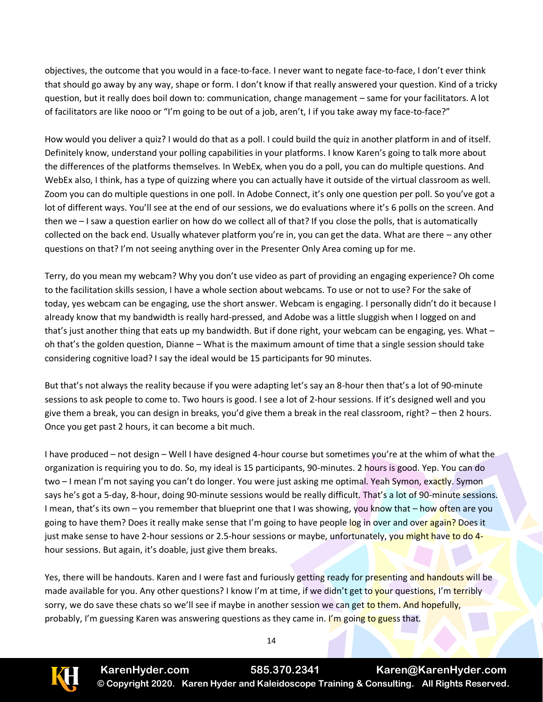objectives, the outcome that you would in a face-to-face. I never want to negate face-to-face, I don't ever think that should go away by any way, shape or form. I don't know if that really answered your question. Kind of a tricky question, but it really does boil down to: communication, change management – same for your facilitators. A lot of facilitators are like nooo or "I'm going to be out of a job, aren't, I if you take away my face-to-face?"

How would you deliver a quiz? I would do that as a poll. I could build the quiz in another platform in and of itself. Definitely know, understand your polling capabilities in your platforms. I know Karen's going to talk more about the differences of the platforms themselves. In WebEx, when you do a poll, you can do multiple questions. And WebEx also, I think, has a type of quizzing where you can actually have it outside of the virtual classroom as well. Zoom you can do multiple questions in one poll. In Adobe Connect, it's only one question per poll. So you've got a lot of different ways. You'll see at the end of our sessions, we do evaluations where it's 6 polls on the screen. And then we – I saw a question earlier on how do we collect all of that? If you close the polls, that is automatically collected on the back end. Usually whatever platform you're in, you can get the data. What are there – any other questions on that? I'm not seeing anything over in the Presenter Only Area coming up for me.

Terry, do you mean my webcam? Why you don't use video as part of providing an engaging experience? Oh come to the facilitation skills session, I have a whole section about webcams. To use or not to use? For the sake of today, yes webcam can be engaging, use the short answer. Webcam is engaging. I personally didn't do it because I already know that my bandwidth is really hard-pressed, and Adobe was a little sluggish when I logged on and that's just another thing that eats up my bandwidth. But if done right, your webcam can be engaging, yes. What – oh that's the golden question, Dianne – What is the maximum amount of time that a single session should take considering cognitive load? I say the ideal would be 15 participants for 90 minutes.

But that's not always the reality because if you were adapting let's say an 8-hour then that's a lot of 90-minute sessions to ask people to come to. Two hours is good. I see a lot of 2-hour sessions. If it's designed well and you give them a break, you can design in breaks, you'd give them a break in the real classroom, right? – then 2 hours. Once you get past 2 hours, it can become a bit much.

I have produced – not design – Well I have designed 4-hour course but sometimes you're at the whim of what the organization is requiring you to do. So, my ideal is 15 participants, 90-minutes. 2 hours is good. Yep. You can do two – I mean I'm not saying you can't do longer. You were just asking me optimal. Yeah Symon, exactly. Symon says he's got a 5-day, 8-hour, doing 90-minute sessions would be really difficult. That's a lot of 90-minute sessions. I mean, that's its own – you remember that blueprint one that I was showing, you know that – how often are you going to have them? Does it really make sense that I'm going to have people log in over and over again? Does it just make sense to have 2-hour sessions or 2.5-hour sessions or maybe, unfortunately, you might have to do 4hour sessions. But again, it's doable, just give them breaks.

Yes, there will be handouts. Karen and I were fast and furiously getting ready for presenting and handouts will be made available for you. Any other questions? I know I'm at time, if we didn't get to your questions, I'm terribly sorry, we do save these chats so we'll see if maybe in another session we can get to them. And hopefully, probably, I'm guessing Karen was answering questions as they came in. I'm going to guess that.